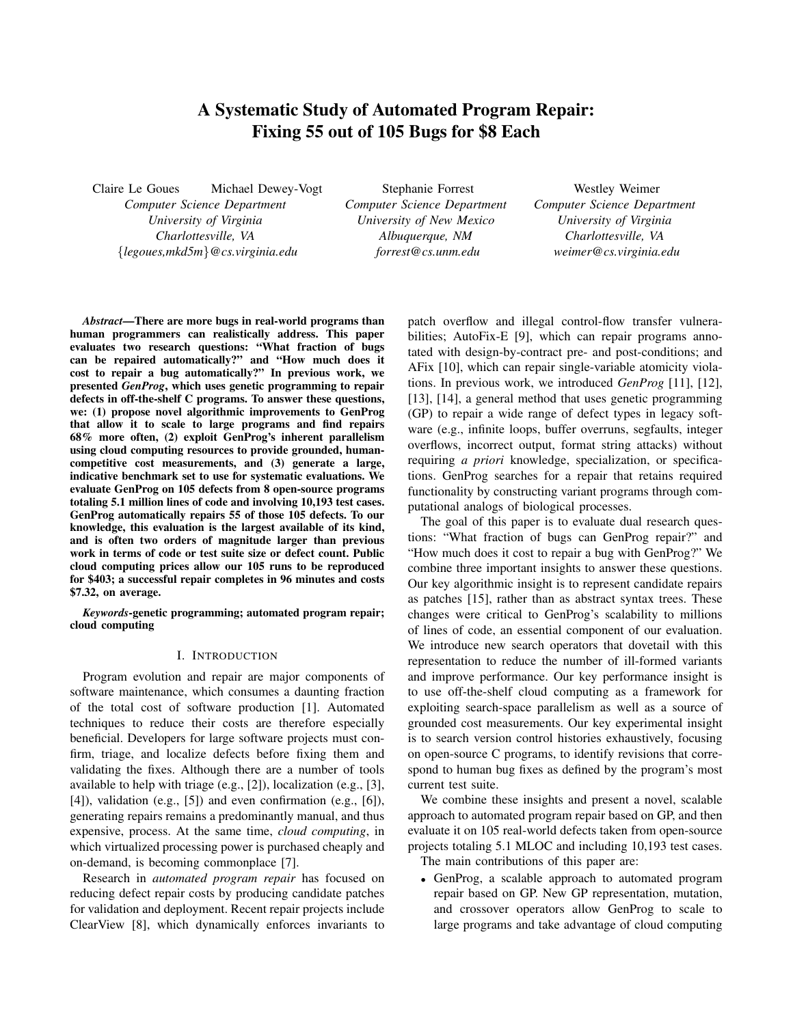# A Systematic Study of Automated Program Repair: Fixing 55 out of 105 Bugs for \$8 Each

Claire Le Goues Michael Dewey-Vogt *Computer Science Department University of Virginia Charlottesville, VA* {*legoues,mkd5m*}*@cs.virginia.edu*

Stephanie Forrest *Computer Science Department University of New Mexico Albuquerque, NM forrest@cs.unm.edu*

Westley Weimer *Computer Science Department University of Virginia Charlottesville, VA weimer@cs.virginia.edu*

*Abstract*—There are more bugs in real-world programs than human programmers can realistically address. This paper evaluates two research questions: "What fraction of bugs can be repaired automatically?" and "How much does it cost to repair a bug automatically?" In previous work, we presented *GenProg*, which uses genetic programming to repair defects in off-the-shelf C programs. To answer these questions, we: (1) propose novel algorithmic improvements to GenProg that allow it to scale to large programs and find repairs 68% more often, (2) exploit GenProg's inherent parallelism using cloud computing resources to provide grounded, humancompetitive cost measurements, and (3) generate a large, indicative benchmark set to use for systematic evaluations. We evaluate GenProg on 105 defects from 8 open-source programs totaling 5.1 million lines of code and involving 10,193 test cases. GenProg automatically repairs 55 of those 105 defects. To our knowledge, this evaluation is the largest available of its kind, and is often two orders of magnitude larger than previous work in terms of code or test suite size or defect count. Public cloud computing prices allow our 105 runs to be reproduced for \$403; a successful repair completes in 96 minutes and costs \$7.32, on average.

*Keywords*-genetic programming; automated program repair; cloud computing

### I. INTRODUCTION

Program evolution and repair are major components of software maintenance, which consumes a daunting fraction of the total cost of software production [1]. Automated techniques to reduce their costs are therefore especially beneficial. Developers for large software projects must confirm, triage, and localize defects before fixing them and validating the fixes. Although there are a number of tools available to help with triage (e.g., [2]), localization (e.g., [3], [4]), validation (e.g., [5]) and even confirmation (e.g., [6]), generating repairs remains a predominantly manual, and thus expensive, process. At the same time, *cloud computing*, in which virtualized processing power is purchased cheaply and on-demand, is becoming commonplace [7].

Research in *automated program repair* has focused on reducing defect repair costs by producing candidate patches for validation and deployment. Recent repair projects include ClearView [8], which dynamically enforces invariants to patch overflow and illegal control-flow transfer vulnerabilities; AutoFix-E [9], which can repair programs annotated with design-by-contract pre- and post-conditions; and AFix [10], which can repair single-variable atomicity violations. In previous work, we introduced *GenProg* [11], [12], [13], [14], a general method that uses genetic programming (GP) to repair a wide range of defect types in legacy software (e.g., infinite loops, buffer overruns, segfaults, integer overflows, incorrect output, format string attacks) without requiring *a priori* knowledge, specialization, or specifications. GenProg searches for a repair that retains required functionality by constructing variant programs through computational analogs of biological processes.

The goal of this paper is to evaluate dual research questions: "What fraction of bugs can GenProg repair?" and "How much does it cost to repair a bug with GenProg?" We combine three important insights to answer these questions. Our key algorithmic insight is to represent candidate repairs as patches [15], rather than as abstract syntax trees. These changes were critical to GenProg's scalability to millions of lines of code, an essential component of our evaluation. We introduce new search operators that dovetail with this representation to reduce the number of ill-formed variants and improve performance. Our key performance insight is to use off-the-shelf cloud computing as a framework for exploiting search-space parallelism as well as a source of grounded cost measurements. Our key experimental insight is to search version control histories exhaustively, focusing on open-source C programs, to identify revisions that correspond to human bug fixes as defined by the program's most current test suite.

We combine these insights and present a novel, scalable approach to automated program repair based on GP, and then evaluate it on 105 real-world defects taken from open-source projects totaling 5.1 MLOC and including 10,193 test cases.

The main contributions of this paper are:

• GenProg, a scalable approach to automated program repair based on GP. New GP representation, mutation, and crossover operators allow GenProg to scale to large programs and take advantage of cloud computing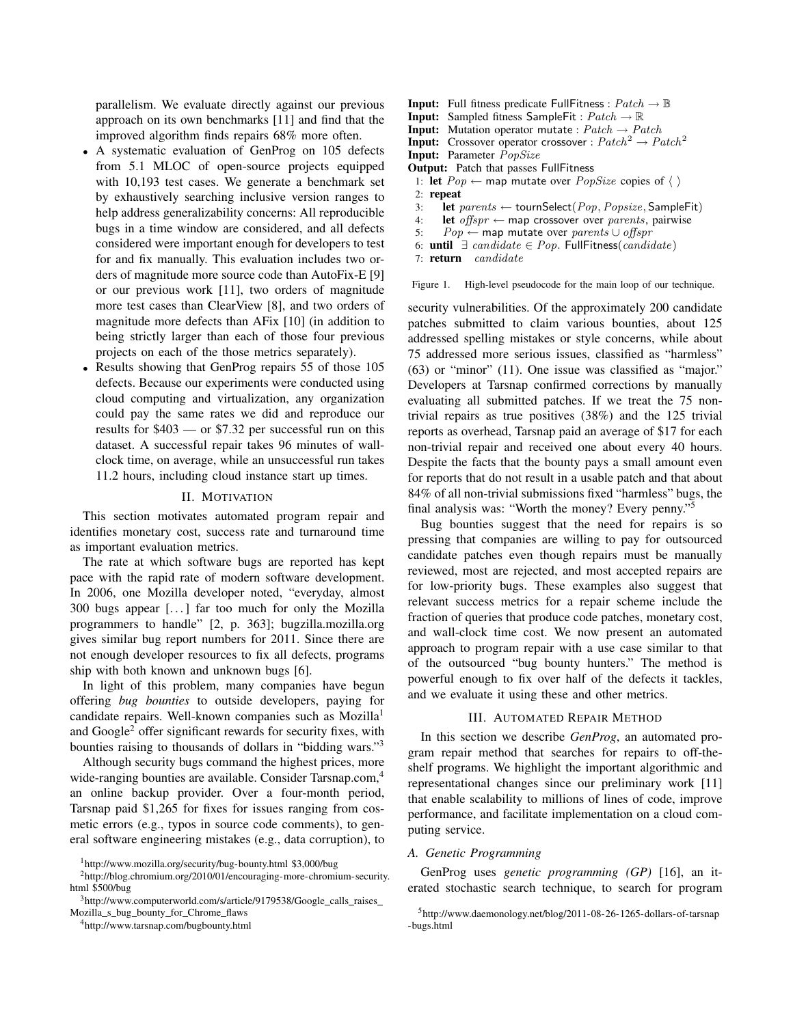parallelism. We evaluate directly against our previous approach on its own benchmarks [11] and find that the improved algorithm finds repairs 68% more often.

- A systematic evaluation of GenProg on 105 defects from 5.1 MLOC of open-source projects equipped with 10,193 test cases. We generate a benchmark set by exhaustively searching inclusive version ranges to help address generalizability concerns: All reproducible bugs in a time window are considered, and all defects considered were important enough for developers to test for and fix manually. This evaluation includes two orders of magnitude more source code than AutoFix-E [9] or our previous work [11], two orders of magnitude more test cases than ClearView [8], and two orders of magnitude more defects than AFix [10] (in addition to being strictly larger than each of those four previous projects on each of the those metrics separately).
- Results showing that GenProg repairs 55 of those 105 defects. Because our experiments were conducted using cloud computing and virtualization, any organization could pay the same rates we did and reproduce our results for \$403 — or \$7.32 per successful run on this dataset. A successful repair takes 96 minutes of wallclock time, on average, while an unsuccessful run takes 11.2 hours, including cloud instance start up times.

#### II. MOTIVATION

This section motivates automated program repair and identifies monetary cost, success rate and turnaround time as important evaluation metrics.

The rate at which software bugs are reported has kept pace with the rapid rate of modern software development. In 2006, one Mozilla developer noted, "everyday, almost 300 bugs appear [. . . ] far too much for only the Mozilla programmers to handle" [2, p. 363]; bugzilla.mozilla.org gives similar bug report numbers for 2011. Since there are not enough developer resources to fix all defects, programs ship with both known and unknown bugs [6].

In light of this problem, many companies have begun offering *bug bounties* to outside developers, paying for candidate repairs. Well-known companies such as Mozilla<sup>1</sup> and Google<sup>2</sup> offer significant rewards for security fixes, with bounties raising to thousands of dollars in "bidding wars."<sup>3</sup>

Although security bugs command the highest prices, more wide-ranging bounties are available. Consider Tarsnap.com,<sup>4</sup> an online backup provider. Over a four-month period, Tarsnap paid \$1,265 for fixes for issues ranging from cosmetic errors (e.g., typos in source code comments), to general software engineering mistakes (e.g., data corruption), to

- **Input:** Full fitness predicate FullFitness :  $Patch \rightarrow \mathbb{B}$
- **Input:** Sampled fitness SampleFit :  $Patch \rightarrow \mathbb{R}$
- **Input:** Mutation operator mutate :  $Patch \rightarrow Patch$
- **Input:** Crossover operator crossover :  $Patch^2 \rightarrow Patch^2$
- Input: Parameter PopSize
- Output: Patch that passes FullFitness
- 1: let  $Pop \leftarrow$  map mutate over  $PopSize$  copies of  $\langle \ \rangle$
- 2: repeat
- 3: let  $parents \leftarrow$  tournSelect(Pop, Popsize, SampleFit)
- 4: let offspr  $\leftarrow$  map crossover over parents, pairwise
- 5:  $Pop \leftarrow$  map mutate over parents ∪ offspr
- 6: until ∃ candidate ∈ Pop. FullFitness(candidate)

7: return candidate

Figure 1. High-level pseudocode for the main loop of our technique.

security vulnerabilities. Of the approximately 200 candidate patches submitted to claim various bounties, about 125 addressed spelling mistakes or style concerns, while about 75 addressed more serious issues, classified as "harmless" (63) or "minor" (11). One issue was classified as "major." Developers at Tarsnap confirmed corrections by manually evaluating all submitted patches. If we treat the 75 nontrivial repairs as true positives (38%) and the 125 trivial reports as overhead, Tarsnap paid an average of \$17 for each non-trivial repair and received one about every 40 hours. Despite the facts that the bounty pays a small amount even for reports that do not result in a usable patch and that about 84% of all non-trivial submissions fixed "harmless" bugs, the final analysis was: "Worth the money? Every penny."<sup>5</sup>

Bug bounties suggest that the need for repairs is so pressing that companies are willing to pay for outsourced candidate patches even though repairs must be manually reviewed, most are rejected, and most accepted repairs are for low-priority bugs. These examples also suggest that relevant success metrics for a repair scheme include the fraction of queries that produce code patches, monetary cost, and wall-clock time cost. We now present an automated approach to program repair with a use case similar to that of the outsourced "bug bounty hunters." The method is powerful enough to fix over half of the defects it tackles, and we evaluate it using these and other metrics.

### III. AUTOMATED REPAIR METHOD

In this section we describe *GenProg*, an automated program repair method that searches for repairs to off-theshelf programs. We highlight the important algorithmic and representational changes since our preliminary work [11] that enable scalability to millions of lines of code, improve performance, and facilitate implementation on a cloud computing service.

### *A. Genetic Programming*

GenProg uses *genetic programming (GP)* [16], an iterated stochastic search technique, to search for program

<sup>1</sup>http://www.mozilla.org/security/bug-bounty.html \$3,000/bug

<sup>2</sup>http://blog.chromium.org/2010/01/encouraging-more-chromium-security. html \$500/bug

<sup>&</sup>lt;sup>3</sup>http://www.computerworld.com/s/article/9179538/Google\_calls\_raises\_ Mozilla\_s\_bug\_bounty\_for\_Chrome\_flaws

<sup>4</sup>http://www.tarsnap.com/bugbounty.html

<sup>5</sup>http://www.daemonology.net/blog/2011-08-26-1265-dollars-of-tarsnap -bugs.html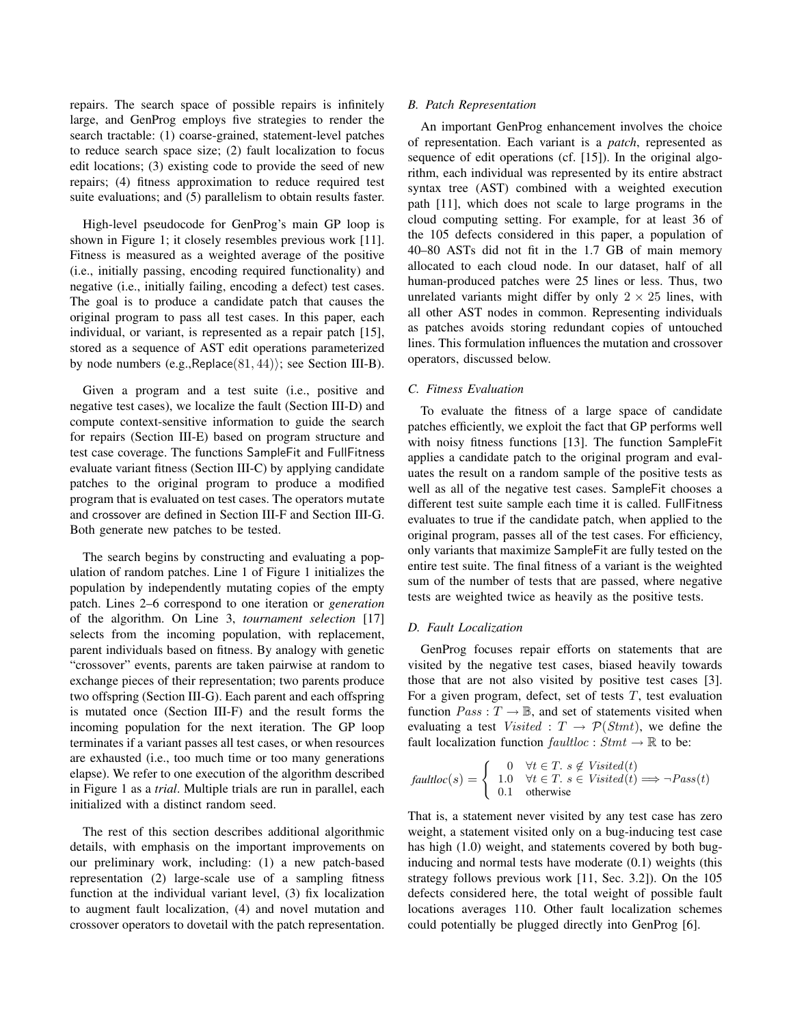repairs. The search space of possible repairs is infinitely large, and GenProg employs five strategies to render the search tractable: (1) coarse-grained, statement-level patches to reduce search space size; (2) fault localization to focus edit locations; (3) existing code to provide the seed of new repairs; (4) fitness approximation to reduce required test suite evaluations; and (5) parallelism to obtain results faster.

High-level pseudocode for GenProg's main GP loop is shown in Figure 1; it closely resembles previous work [11]. Fitness is measured as a weighted average of the positive (i.e., initially passing, encoding required functionality) and negative (i.e., initially failing, encoding a defect) test cases. The goal is to produce a candidate patch that causes the original program to pass all test cases. In this paper, each individual, or variant, is represented as a repair patch [15], stored as a sequence of AST edit operations parameterized by node numbers  $(e.g.,\text{Replace}(81,44));$  see Section III-B).

Given a program and a test suite (i.e., positive and negative test cases), we localize the fault (Section III-D) and compute context-sensitive information to guide the search for repairs (Section III-E) based on program structure and test case coverage. The functions SampleFit and FullFitness evaluate variant fitness (Section III-C) by applying candidate patches to the original program to produce a modified program that is evaluated on test cases. The operators mutate and crossover are defined in Section III-F and Section III-G. Both generate new patches to be tested.

The search begins by constructing and evaluating a population of random patches. Line 1 of Figure 1 initializes the population by independently mutating copies of the empty patch. Lines 2–6 correspond to one iteration or *generation* of the algorithm. On Line 3, *tournament selection* [17] selects from the incoming population, with replacement, parent individuals based on fitness. By analogy with genetic "crossover" events, parents are taken pairwise at random to exchange pieces of their representation; two parents produce two offspring (Section III-G). Each parent and each offspring is mutated once (Section III-F) and the result forms the incoming population for the next iteration. The GP loop terminates if a variant passes all test cases, or when resources are exhausted (i.e., too much time or too many generations elapse). We refer to one execution of the algorithm described in Figure 1 as a *trial*. Multiple trials are run in parallel, each initialized with a distinct random seed.

The rest of this section describes additional algorithmic details, with emphasis on the important improvements on our preliminary work, including: (1) a new patch-based representation (2) large-scale use of a sampling fitness function at the individual variant level, (3) fix localization to augment fault localization, (4) and novel mutation and crossover operators to dovetail with the patch representation.

### *B. Patch Representation*

An important GenProg enhancement involves the choice of representation. Each variant is a *patch*, represented as sequence of edit operations (cf. [15]). In the original algorithm, each individual was represented by its entire abstract syntax tree (AST) combined with a weighted execution path [11], which does not scale to large programs in the cloud computing setting. For example, for at least 36 of the 105 defects considered in this paper, a population of 40–80 ASTs did not fit in the 1.7 GB of main memory allocated to each cloud node. In our dataset, half of all human-produced patches were 25 lines or less. Thus, two unrelated variants might differ by only  $2 \times 25$  lines, with all other AST nodes in common. Representing individuals as patches avoids storing redundant copies of untouched lines. This formulation influences the mutation and crossover operators, discussed below.

### *C. Fitness Evaluation*

To evaluate the fitness of a large space of candidate patches efficiently, we exploit the fact that GP performs well with noisy fitness functions [13]. The function SampleFit applies a candidate patch to the original program and evaluates the result on a random sample of the positive tests as well as all of the negative test cases. SampleFit chooses a different test suite sample each time it is called. FullFitness evaluates to true if the candidate patch, when applied to the original program, passes all of the test cases. For efficiency, only variants that maximize SampleFit are fully tested on the entire test suite. The final fitness of a variant is the weighted sum of the number of tests that are passed, where negative tests are weighted twice as heavily as the positive tests.

#### *D. Fault Localization*

GenProg focuses repair efforts on statements that are visited by the negative test cases, biased heavily towards those that are not also visited by positive test cases [3]. For a given program, defect, set of tests  $T$ , test evaluation function  $Pass: T \rightarrow \mathbb{B}$ , and set of statements visited when evaluating a test Visited :  $T \rightarrow \mathcal{P}(Stmt)$ , we define the fault localization function  $\text{fault}$   $\text{loc}: \text{Strat} \to \mathbb{R}$  to be:

$$
faultloc(s) = \begin{cases} 0 & \forall t \in T. \ s \notin V isited(t) \\ 1.0 & \forall t \in T. \ s \in V isited(t) \Longrightarrow \neg Pass(t) \\ 0.1 & otherwise \end{cases}
$$

That is, a statement never visited by any test case has zero weight, a statement visited only on a bug-inducing test case has high (1.0) weight, and statements covered by both buginducing and normal tests have moderate (0.1) weights (this strategy follows previous work [11, Sec. 3.2]). On the 105 defects considered here, the total weight of possible fault locations averages 110. Other fault localization schemes could potentially be plugged directly into GenProg [6].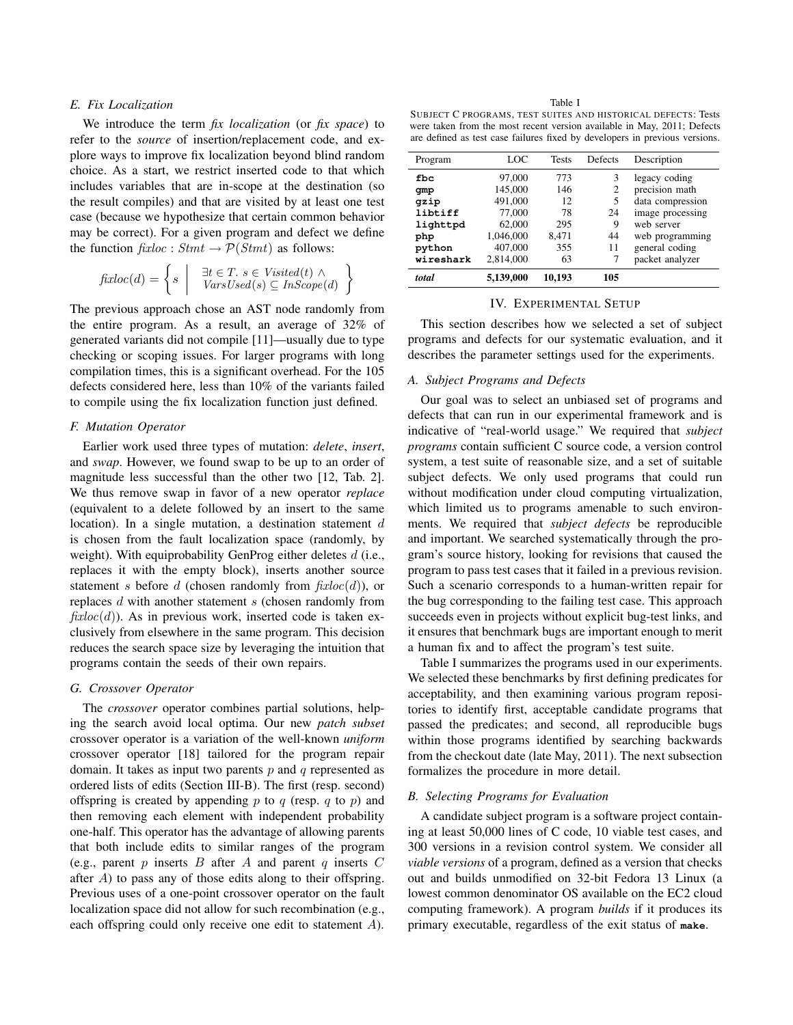## *E. Fix Localization*

We introduce the term *fix localization* (or *fix space*) to refer to the *source* of insertion/replacement code, and explore ways to improve fix localization beyond blind random choice. As a start, we restrict inserted code to that which includes variables that are in-scope at the destination (so the result compiles) and that are visited by at least one test case (because we hypothesize that certain common behavior may be correct). For a given program and defect we define the function  $\text{fixloc}: \text{Strat} \to \mathcal{P}(\text{Strat})$  as follows:

$$
fixloc(d) = \left\{ s \mid \begin{array}{c} \exists t \in T. \ s \in V isited(t) \land \\ \text{VarsUsed}(s) \subseteq \text{InScope}(d) \end{array} \right\}
$$

The previous approach chose an AST node randomly from the entire program. As a result, an average of 32% of generated variants did not compile [11]—usually due to type checking or scoping issues. For larger programs with long compilation times, this is a significant overhead. For the 105 defects considered here, less than 10% of the variants failed to compile using the fix localization function just defined.

# *F. Mutation Operator*

Earlier work used three types of mutation: *delete*, *insert*, and *swap*. However, we found swap to be up to an order of magnitude less successful than the other two [12, Tab. 2]. We thus remove swap in favor of a new operator *replace* (equivalent to a delete followed by an insert to the same location). In a single mutation, a destination statement d is chosen from the fault localization space (randomly, by weight). With equiprobability GenProg either deletes  $d$  (i.e., replaces it with the empty block), inserts another source statement s before d (chosen randomly from  $\hat{f}xloc(d)$ ), or replaces d with another statement s (chosen randomly from  $\hat{f}xloc(d)$ ). As in previous work, inserted code is taken exclusively from elsewhere in the same program. This decision reduces the search space size by leveraging the intuition that programs contain the seeds of their own repairs.

#### *G. Crossover Operator*

The *crossover* operator combines partial solutions, helping the search avoid local optima. Our new *patch subset* crossover operator is a variation of the well-known *uniform* crossover operator [18] tailored for the program repair domain. It takes as input two parents  $p$  and  $q$  represented as ordered lists of edits (Section III-B). The first (resp. second) offspring is created by appending p to q (resp. q to p) and then removing each element with independent probability one-half. This operator has the advantage of allowing parents that both include edits to similar ranges of the program (e.g., parent p inserts B after A and parent q inserts C after  $A$ ) to pass any of those edits along to their offspring. Previous uses of a one-point crossover operator on the fault localization space did not allow for such recombination (e.g., each offspring could only receive one edit to statement A).

Table I SUBJECT C PROGRAMS, TEST SUITES AND HISTORICAL DEFECTS: Tests were taken from the most recent version available in May, 2011; Defects are defined as test case failures fixed by developers in previous versions.

| Program   | LOC       | <b>Tests</b> | Defects | Description      |
|-----------|-----------|--------------|---------|------------------|
| fbc       | 97,000    | 773          | 3       | legacy coding    |
| gmp       | 145,000   | 146          | 2       | precision math   |
| qzip      | 491,000   | 12           | 5       | data compression |
| libtiff   | 77,000    | 78           | 24      | image processing |
| lighttpd  | 62,000    | 295          | 9       | web server       |
| php       | 1,046,000 | 8.471        | 44      | web programming  |
| python    | 407,000   | 355          | 11      | general coding   |
| wireshark | 2.814.000 | 63           |         | packet analyzer  |
| total     | 5,139,000 | 10,193       | 105     |                  |

#### IV. EXPERIMENTAL SETUP

This section describes how we selected a set of subject programs and defects for our systematic evaluation, and it describes the parameter settings used for the experiments.

### *A. Subject Programs and Defects*

Our goal was to select an unbiased set of programs and defects that can run in our experimental framework and is indicative of "real-world usage." We required that *subject programs* contain sufficient C source code, a version control system, a test suite of reasonable size, and a set of suitable subject defects. We only used programs that could run without modification under cloud computing virtualization, which limited us to programs amenable to such environments. We required that *subject defects* be reproducible and important. We searched systematically through the program's source history, looking for revisions that caused the program to pass test cases that it failed in a previous revision. Such a scenario corresponds to a human-written repair for the bug corresponding to the failing test case. This approach succeeds even in projects without explicit bug-test links, and it ensures that benchmark bugs are important enough to merit a human fix and to affect the program's test suite.

Table I summarizes the programs used in our experiments. We selected these benchmarks by first defining predicates for acceptability, and then examining various program repositories to identify first, acceptable candidate programs that passed the predicates; and second, all reproducible bugs within those programs identified by searching backwards from the checkout date (late May, 2011). The next subsection formalizes the procedure in more detail.

### *B. Selecting Programs for Evaluation*

A candidate subject program is a software project containing at least 50,000 lines of C code, 10 viable test cases, and 300 versions in a revision control system. We consider all *viable versions* of a program, defined as a version that checks out and builds unmodified on 32-bit Fedora 13 Linux (a lowest common denominator OS available on the EC2 cloud computing framework). A program *builds* if it produces its primary executable, regardless of the exit status of **make**.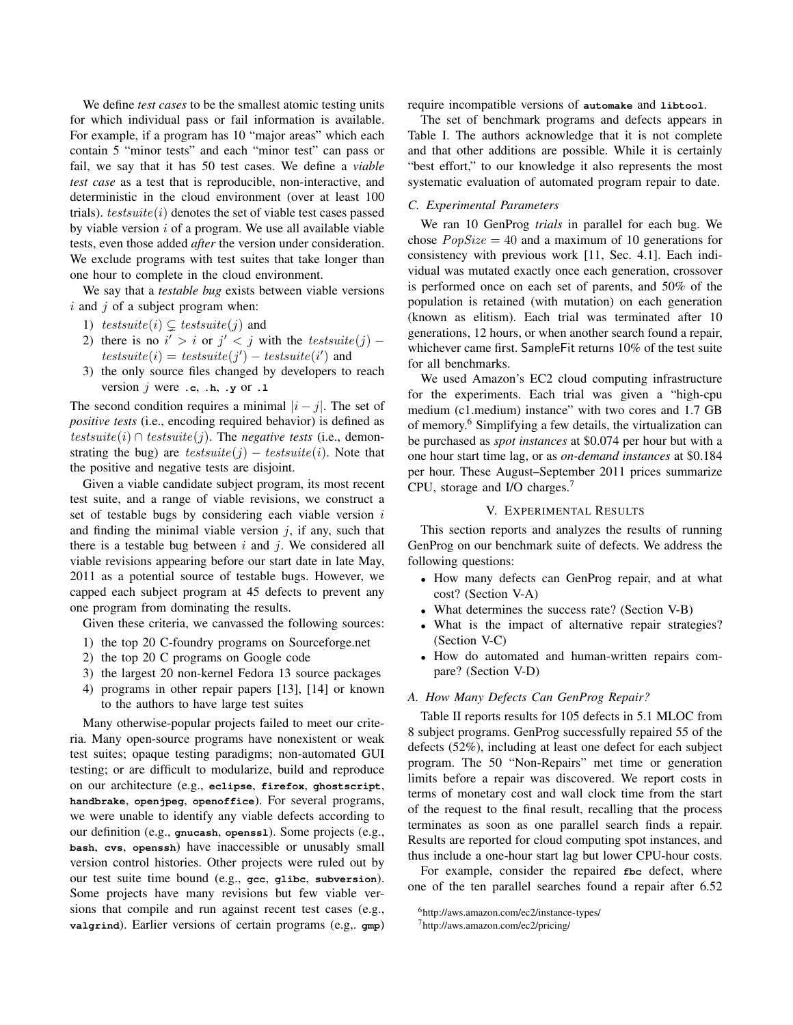We define *test cases* to be the smallest atomic testing units for which individual pass or fail information is available. For example, if a program has 10 "major areas" which each contain 5 "minor tests" and each "minor test" can pass or fail, we say that it has 50 test cases. We define a *viable test case* as a test that is reproducible, non-interactive, and deterministic in the cloud environment (over at least 100 trials).  $test suite(i)$  denotes the set of viable test cases passed by viable version  $i$  of a program. We use all available viable tests, even those added *after* the version under consideration. We exclude programs with test suites that take longer than one hour to complete in the cloud environment.

We say that a *testable bug* exists between viable versions  $i$  and  $j$  of a subject program when:

- 1) testsuite(i)  $\subsetneq$  testsuite(j) and
- 2) there is no  $i' > i$  or  $j' < j$  with the test suite  $(j)$   $test suite(i) = test suite(j') - test suite(i')$  and
- 3) the only source files changed by developers to reach version  $j$  were  $\cdot$ **c**,  $\cdot$ **h**,  $\cdot$ **y** or  $\cdot$ **1**

The second condition requires a minimal  $|i - j|$ . The set of *positive tests* (i.e., encoding required behavior) is defined as testsuite(i)  $\cap$  testsuite(j). The *negative tests* (i.e., demonstrating the bug) are  $test suite(j) - test suite(i)$ . Note that the positive and negative tests are disjoint.

Given a viable candidate subject program, its most recent test suite, and a range of viable revisions, we construct a set of testable bugs by considering each viable version  $i$ and finding the minimal viable version  $j$ , if any, such that there is a testable bug between  $i$  and  $j$ . We considered all viable revisions appearing before our start date in late May, 2011 as a potential source of testable bugs. However, we capped each subject program at 45 defects to prevent any one program from dominating the results.

Given these criteria, we canvassed the following sources:

- 1) the top 20 C-foundry programs on Sourceforge.net
- 2) the top 20 C programs on Google code
- 3) the largest 20 non-kernel Fedora 13 source packages
- 4) programs in other repair papers [13], [14] or known to the authors to have large test suites

Many otherwise-popular projects failed to meet our criteria. Many open-source programs have nonexistent or weak test suites; opaque testing paradigms; non-automated GUI testing; or are difficult to modularize, build and reproduce on our architecture (e.g., **eclipse**, **firefox**, **ghostscript**, **handbrake**, **openjpeg**, **openoffice**). For several programs, we were unable to identify any viable defects according to our definition (e.g., **gnucash**, **openssl**). Some projects (e.g., **bash**, **cvs**, **openssh**) have inaccessible or unusably small version control histories. Other projects were ruled out by our test suite time bound (e.g., **gcc**, **glibc**, **subversion**). Some projects have many revisions but few viable versions that compile and run against recent test cases (e.g., **valgrind**). Earlier versions of certain programs (e.g,. **gmp**) require incompatible versions of **automake** and **libtool**.

The set of benchmark programs and defects appears in Table I. The authors acknowledge that it is not complete and that other additions are possible. While it is certainly "best effort," to our knowledge it also represents the most systematic evaluation of automated program repair to date.

## *C. Experimental Parameters*

We ran 10 GenProg *trials* in parallel for each bug. We chose  $PopSize = 40$  and a maximum of 10 generations for consistency with previous work [11, Sec. 4.1]. Each individual was mutated exactly once each generation, crossover is performed once on each set of parents, and 50% of the population is retained (with mutation) on each generation (known as elitism). Each trial was terminated after 10 generations, 12 hours, or when another search found a repair, whichever came first. SampleFit returns 10% of the test suite for all benchmarks.

We used Amazon's EC2 cloud computing infrastructure for the experiments. Each trial was given a "high-cpu medium (c1.medium) instance" with two cores and 1.7 GB of memory.<sup>6</sup> Simplifying a few details, the virtualization can be purchased as *spot instances* at \$0.074 per hour but with a one hour start time lag, or as *on-demand instances* at \$0.184 per hour. These August–September 2011 prices summarize CPU, storage and I/O charges.<sup>7</sup>

### V. EXPERIMENTAL RESULTS

This section reports and analyzes the results of running GenProg on our benchmark suite of defects. We address the following questions:

- How many defects can GenProg repair, and at what cost? (Section V-A)
- What determines the success rate? (Section V-B)
- What is the impact of alternative repair strategies? (Section V-C)
- How do automated and human-written repairs compare? (Section V-D)

### *A. How Many Defects Can GenProg Repair?*

Table II reports results for 105 defects in 5.1 MLOC from 8 subject programs. GenProg successfully repaired 55 of the defects (52%), including at least one defect for each subject program. The 50 "Non-Repairs" met time or generation limits before a repair was discovered. We report costs in terms of monetary cost and wall clock time from the start of the request to the final result, recalling that the process terminates as soon as one parallel search finds a repair. Results are reported for cloud computing spot instances, and thus include a one-hour start lag but lower CPU-hour costs.

For example, consider the repaired  $f$ bc defect, where one of the ten parallel searches found a repair after 6.52

<sup>6</sup>http://aws.amazon.com/ec2/instance-types/

<sup>7</sup>http://aws.amazon.com/ec2/pricing/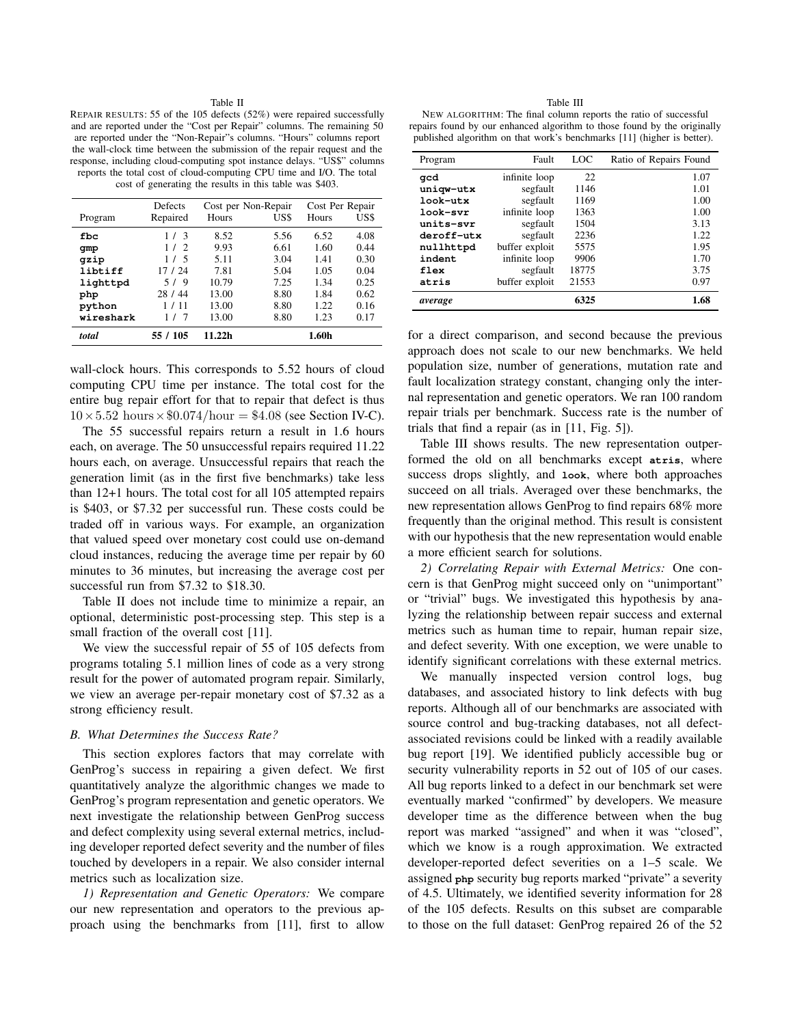#### Table II

REPAIR RESULTS: 55 of the 105 defects (52%) were repaired successfully and are reported under the "Cost per Repair" columns. The remaining 50 are reported under the "Non-Repair"s columns. "Hours" columns report the wall-clock time between the submission of the repair request and the response, including cloud-computing spot instance delays. "US\$" columns reports the total cost of cloud-computing CPU time and I/O. The total cost of generating the results in this table was \$403.

|           | Defects  | Cost per Non-Repair |      | Cost Per Repair |      |
|-----------|----------|---------------------|------|-----------------|------|
| Program   | Repaired | Hours               | US\$ | Hours           | US\$ |
| fbc       | 1/3      | 8.52                | 5.56 | 6.52            | 4.08 |
| qmp       | 1/2      | 9.93                | 6.61 | 1.60            | 0.44 |
| qzip      | 1/5      | 5.11                | 3.04 | 1.41            | 0.30 |
| libtiff   | 17 / 24  | 7.81                | 5.04 | 1.05            | 0.04 |
| lighttpd  | 5/9      | 10.79               | 7.25 | 1.34            | 0.25 |
| php       | 28 / 44  | 13.00               | 8.80 | 1.84            | 0.62 |
| python    | 1/11     | 13.00               | 8.80 | 1.22.           | 0.16 |
| wireshark | 1/<br>7  | 13.00               | 8.80 | 1.23            | 0.17 |
| total     | 55 / 105 | 11.22h              |      | 1.60h           |      |

wall-clock hours. This corresponds to 5.52 hours of cloud computing CPU time per instance. The total cost for the entire bug repair effort for that to repair that defect is thus  $10\times5.52$  hours  $\times\$0.074$ /hour = \$4.08 (see Section IV-C).

The 55 successful repairs return a result in 1.6 hours each, on average. The 50 unsuccessful repairs required 11.22 hours each, on average. Unsuccessful repairs that reach the generation limit (as in the first five benchmarks) take less than 12+1 hours. The total cost for all 105 attempted repairs is \$403, or \$7.32 per successful run. These costs could be traded off in various ways. For example, an organization that valued speed over monetary cost could use on-demand cloud instances, reducing the average time per repair by 60 minutes to 36 minutes, but increasing the average cost per successful run from \$7.32 to \$18.30.

Table II does not include time to minimize a repair, an optional, deterministic post-processing step. This step is a small fraction of the overall cost [11].

We view the successful repair of 55 of 105 defects from programs totaling 5.1 million lines of code as a very strong result for the power of automated program repair. Similarly, we view an average per-repair monetary cost of \$7.32 as a strong efficiency result.

#### *B. What Determines the Success Rate?*

This section explores factors that may correlate with GenProg's success in repairing a given defect. We first quantitatively analyze the algorithmic changes we made to GenProg's program representation and genetic operators. We next investigate the relationship between GenProg success and defect complexity using several external metrics, including developer reported defect severity and the number of files touched by developers in a repair. We also consider internal metrics such as localization size.

*1) Representation and Genetic Operators:* We compare our new representation and operators to the previous approach using the benchmarks from [11], first to allow

Table III NEW ALGORITHM: The final column reports the ratio of successful repairs found by our enhanced algorithm to those found by the originally published algorithm on that work's benchmarks [11] (higher is better).

| Program    | Fault          | LOC   | Ratio of Repairs Found |
|------------|----------------|-------|------------------------|
| acd        | infinite loop  | 22    | 1.07                   |
| uniqw-utx  | segfault       | 1146  | 1.01                   |
| look-utx   | segfault       | 1169  | 1.00                   |
| look-svr   | infinite loop  | 1363  | 1.00                   |
| units-svr  | segfault       | 1504  | 3.13                   |
| deroff-utx | segfault       | 2236  | 1.22                   |
| nullhttpd  | buffer exploit | 5575  | 1.95                   |
| indent     | infinite loop  | 9906  | 1.70                   |
| flex       | segfault       | 18775 | 3.75                   |
| atris      | buffer exploit | 21553 | 0.97                   |
| average    |                | 6325  | 1.68                   |

for a direct comparison, and second because the previous approach does not scale to our new benchmarks. We held population size, number of generations, mutation rate and fault localization strategy constant, changing only the internal representation and genetic operators. We ran 100 random repair trials per benchmark. Success rate is the number of trials that find a repair (as in [11, Fig. 5]).

Table III shows results. The new representation outperformed the old on all benchmarks except **atris**, where success drops slightly, and **look**, where both approaches succeed on all trials. Averaged over these benchmarks, the new representation allows GenProg to find repairs 68% more frequently than the original method. This result is consistent with our hypothesis that the new representation would enable a more efficient search for solutions.

*2) Correlating Repair with External Metrics:* One concern is that GenProg might succeed only on "unimportant" or "trivial" bugs. We investigated this hypothesis by analyzing the relationship between repair success and external metrics such as human time to repair, human repair size, and defect severity. With one exception, we were unable to identify significant correlations with these external metrics.

We manually inspected version control logs, bug databases, and associated history to link defects with bug reports. Although all of our benchmarks are associated with source control and bug-tracking databases, not all defectassociated revisions could be linked with a readily available bug report [19]. We identified publicly accessible bug or security vulnerability reports in 52 out of 105 of our cases. All bug reports linked to a defect in our benchmark set were eventually marked "confirmed" by developers. We measure developer time as the difference between when the bug report was marked "assigned" and when it was "closed", which we know is a rough approximation. We extracted developer-reported defect severities on a 1–5 scale. We assigned **php** security bug reports marked "private" a severity of 4.5. Ultimately, we identified severity information for 28 of the 105 defects. Results on this subset are comparable to those on the full dataset: GenProg repaired 26 of the 52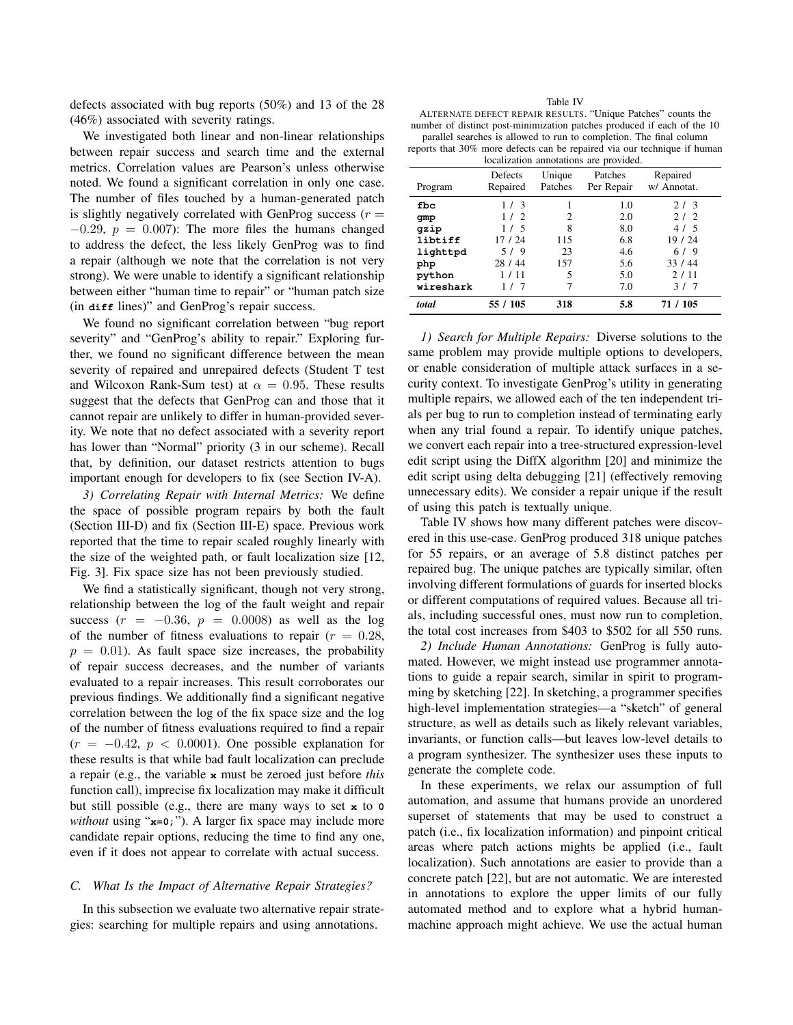defects associated with bug reports (50%) and 13 of the 28 (46%) associated with severity ratings.

We investigated both linear and non-linear relationships between repair success and search time and the external metrics. Correlation values are Pearson's unless otherwise noted. We found a significant correlation in only one case. The number of files touched by a human-generated patch is slightly negatively correlated with GenProg success  $(r =$  $-0.29$ ,  $p = 0.007$ : The more files the humans changed to address the defect, the less likely GenProg was to find a repair (although we note that the correlation is not very strong). We were unable to identify a significant relationship between either "human time to repair" or "human patch size (in **diff** lines)" and GenProg's repair success.

We found no significant correlation between "bug report severity" and "GenProg's ability to repair." Exploring further, we found no significant difference between the mean severity of repaired and unrepaired defects (Student T test and Wilcoxon Rank-Sum test) at  $\alpha = 0.95$ . These results suggest that the defects that GenProg can and those that it cannot repair are unlikely to differ in human-provided severity. We note that no defect associated with a severity report has lower than "Normal" priority (3 in our scheme). Recall that, by definition, our dataset restricts attention to bugs important enough for developers to fix (see Section IV-A).

*3) Correlating Repair with Internal Metrics:* We define the space of possible program repairs by both the fault (Section III-D) and fix (Section III-E) space. Previous work reported that the time to repair scaled roughly linearly with the size of the weighted path, or fault localization size [12, Fig. 3]. Fix space size has not been previously studied.

We find a statistically significant, though not very strong, relationship between the log of the fault weight and repair success  $(r = -0.36, p = 0.0008)$  as well as the log of the number of fitness evaluations to repair  $(r = 0.28,$  $p = 0.01$ ). As fault space size increases, the probability of repair success decreases, and the number of variants evaluated to a repair increases. This result corroborates our previous findings. We additionally find a significant negative correlation between the log of the fix space size and the log of the number of fitness evaluations required to find a repair  $(r = -0.42, p < 0.0001)$ . One possible explanation for these results is that while bad fault localization can preclude a repair (e.g., the variable **x** must be zeroed just before *this* function call), imprecise fix localization may make it difficult but still possible (e.g., there are many ways to set **x** to **0** *without* using "**x=0;**"). A larger fix space may include more candidate repair options, reducing the time to find any one, even if it does not appear to correlate with actual success.

### *C. What Is the Impact of Alternative Repair Strategies?*

In this subsection we evaluate two alternative repair strategies: searching for multiple repairs and using annotations.

| M.<br>٧<br>٠<br>× |
|-------------------|
|-------------------|

| ALTERNATE DEFECT REPAIR RESULTS. "Unique Patches" counts the            |  |
|-------------------------------------------------------------------------|--|
| number of distinct post-minimization patches produced if each of the 10 |  |
| parallel searches is allowed to run to completion. The final column     |  |
|                                                                         |  |

reports that 30% more defects can be repaired via our technique if human localization annotations are provided.

| rocanzation annotations are provided. |                     |                   |                       |                         |
|---------------------------------------|---------------------|-------------------|-----------------------|-------------------------|
| Program                               | Defects<br>Repaired | Unique<br>Patches | Patches<br>Per Repair | Repaired<br>w/ Annotat. |
| fbc                                   | 1/3                 |                   | 1.0                   | 2/3                     |
| qmp                                   | 1/2                 | 2                 | 2.0                   | 2/2                     |
| qzip                                  | 1/5                 | 8                 | 8.0                   | 4/5                     |
| libtiff                               | 17 / 24             | 115               | 6.8                   | 19 / 24                 |
| lighttpd                              | 5/9                 | 23                | 4.6                   | 6/9                     |
| php                                   | 28 / 44             | 157               | 5.6                   | 33/44                   |
| python                                | 1 / 11              | 5                 | 5.0                   | 2/11                    |
| wireshark                             | 1/7                 | 7                 | 7.0                   | 3/7                     |
| total                                 | 55 / 105            | 318               | 5.8                   | 71 / 105                |

*1) Search for Multiple Repairs:* Diverse solutions to the same problem may provide multiple options to developers, or enable consideration of multiple attack surfaces in a security context. To investigate GenProg's utility in generating multiple repairs, we allowed each of the ten independent trials per bug to run to completion instead of terminating early when any trial found a repair. To identify unique patches, we convert each repair into a tree-structured expression-level edit script using the DiffX algorithm [20] and minimize the edit script using delta debugging [21] (effectively removing unnecessary edits). We consider a repair unique if the result of using this patch is textually unique.

Table IV shows how many different patches were discovered in this use-case. GenProg produced 318 unique patches for 55 repairs, or an average of 5.8 distinct patches per repaired bug. The unique patches are typically similar, often involving different formulations of guards for inserted blocks or different computations of required values. Because all trials, including successful ones, must now run to completion, the total cost increases from \$403 to \$502 for all 550 runs.

*2) Include Human Annotations:* GenProg is fully automated. However, we might instead use programmer annotations to guide a repair search, similar in spirit to programming by sketching [22]. In sketching, a programmer specifies high-level implementation strategies—a "sketch" of general structure, as well as details such as likely relevant variables, invariants, or function calls—but leaves low-level details to a program synthesizer. The synthesizer uses these inputs to generate the complete code.

In these experiments, we relax our assumption of full automation, and assume that humans provide an unordered superset of statements that may be used to construct a patch (i.e., fix localization information) and pinpoint critical areas where patch actions mights be applied (i.e., fault localization). Such annotations are easier to provide than a concrete patch [22], but are not automatic. We are interested in annotations to explore the upper limits of our fully automated method and to explore what a hybrid humanmachine approach might achieve. We use the actual human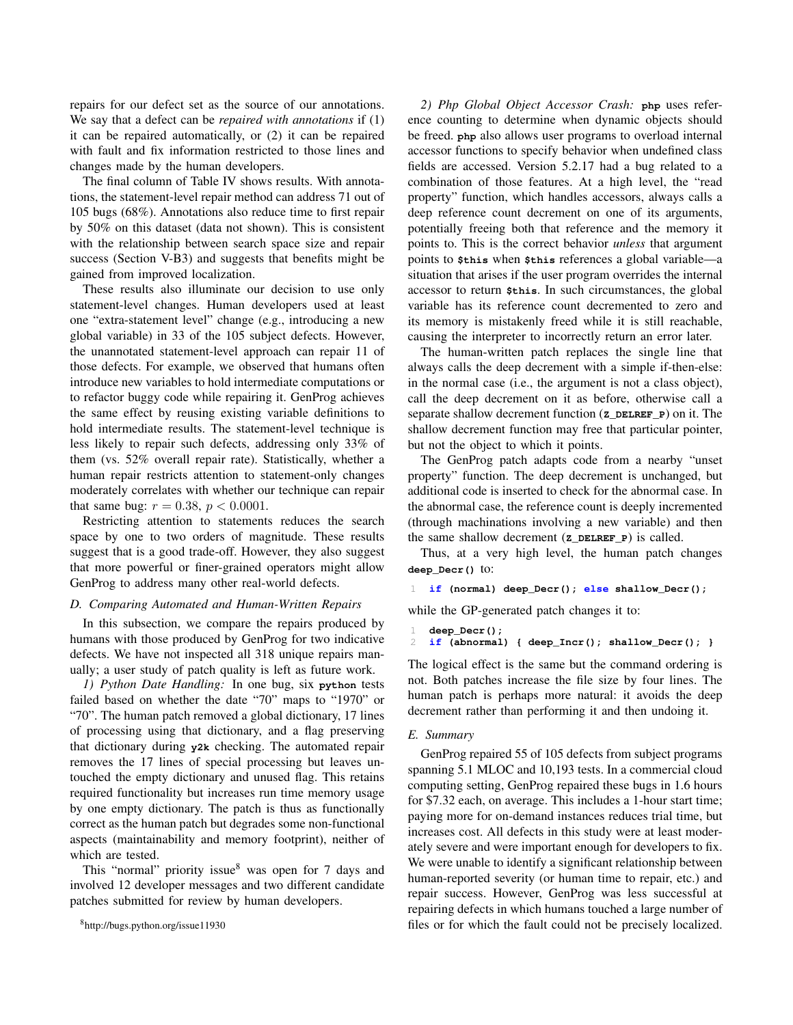repairs for our defect set as the source of our annotations. We say that a defect can be *repaired with annotations* if (1) it can be repaired automatically, or (2) it can be repaired with fault and fix information restricted to those lines and changes made by the human developers.

The final column of Table IV shows results. With annotations, the statement-level repair method can address 71 out of 105 bugs (68%). Annotations also reduce time to first repair by 50% on this dataset (data not shown). This is consistent with the relationship between search space size and repair success (Section V-B3) and suggests that benefits might be gained from improved localization.

These results also illuminate our decision to use only statement-level changes. Human developers used at least one "extra-statement level" change (e.g., introducing a new global variable) in 33 of the 105 subject defects. However, the unannotated statement-level approach can repair 11 of those defects. For example, we observed that humans often introduce new variables to hold intermediate computations or to refactor buggy code while repairing it. GenProg achieves the same effect by reusing existing variable definitions to hold intermediate results. The statement-level technique is less likely to repair such defects, addressing only 33% of them (vs. 52% overall repair rate). Statistically, whether a human repair restricts attention to statement-only changes moderately correlates with whether our technique can repair that same bug:  $r = 0.38$ ,  $p < 0.0001$ .

Restricting attention to statements reduces the search space by one to two orders of magnitude. These results suggest that is a good trade-off. However, they also suggest that more powerful or finer-grained operators might allow GenProg to address many other real-world defects.

### *D. Comparing Automated and Human-Written Repairs*

In this subsection, we compare the repairs produced by humans with those produced by GenProg for two indicative defects. We have not inspected all 318 unique repairs manually; a user study of patch quality is left as future work.

*1) Python Date Handling:* In one bug, six **python** tests failed based on whether the date "70" maps to "1970" or "70". The human patch removed a global dictionary, 17 lines of processing using that dictionary, and a flag preserving that dictionary during **y2k** checking. The automated repair removes the 17 lines of special processing but leaves untouched the empty dictionary and unused flag. This retains required functionality but increases run time memory usage by one empty dictionary. The patch is thus as functionally correct as the human patch but degrades some non-functional aspects (maintainability and memory footprint), neither of which are tested.

This "normal" priority issue $8$  was open for 7 days and involved 12 developer messages and two different candidate patches submitted for review by human developers.

*2) Php Global Object Accessor Crash:* **php** uses reference counting to determine when dynamic objects should be freed. **php** also allows user programs to overload internal accessor functions to specify behavior when undefined class fields are accessed. Version 5.2.17 had a bug related to a combination of those features. At a high level, the "read property" function, which handles accessors, always calls a deep reference count decrement on one of its arguments, potentially freeing both that reference and the memory it points to. This is the correct behavior *unless* that argument points to **\$this** when **\$this** references a global variable—a situation that arises if the user program overrides the internal accessor to return **\$this**. In such circumstances, the global variable has its reference count decremented to zero and its memory is mistakenly freed while it is still reachable, causing the interpreter to incorrectly return an error later.

The human-written patch replaces the single line that always calls the deep decrement with a simple if-then-else: in the normal case (i.e., the argument is not a class object), call the deep decrement on it as before, otherwise call a separate shallow decrement function (**Z\_DELREF\_P**) on it. The shallow decrement function may free that particular pointer, but not the object to which it points.

The GenProg patch adapts code from a nearby "unset property" function. The deep decrement is unchanged, but additional code is inserted to check for the abnormal case. In the abnormal case, the reference count is deeply incremented (through machinations involving a new variable) and then the same shallow decrement (**Z\_DELREF\_P**) is called.

Thus, at a very high level, the human patch changes **deep\_Decr()** to:

```
1 if (normal) deep_Decr(); else shallow_Decr();
```
while the GP-generated patch changes it to:

```
1 deep_Decr();
```

```
2 if (abnormal) { deep_Incr(); shallow_Decr(); }
```
The logical effect is the same but the command ordering is not. Both patches increase the file size by four lines. The human patch is perhaps more natural: it avoids the deep decrement rather than performing it and then undoing it.

### *E. Summary*

GenProg repaired 55 of 105 defects from subject programs spanning 5.1 MLOC and 10,193 tests. In a commercial cloud computing setting, GenProg repaired these bugs in 1.6 hours for \$7.32 each, on average. This includes a 1-hour start time; paying more for on-demand instances reduces trial time, but increases cost. All defects in this study were at least moderately severe and were important enough for developers to fix. We were unable to identify a significant relationship between human-reported severity (or human time to repair, etc.) and repair success. However, GenProg was less successful at repairing defects in which humans touched a large number of files or for which the fault could not be precisely localized.

<sup>8</sup>http://bugs.python.org/issue11930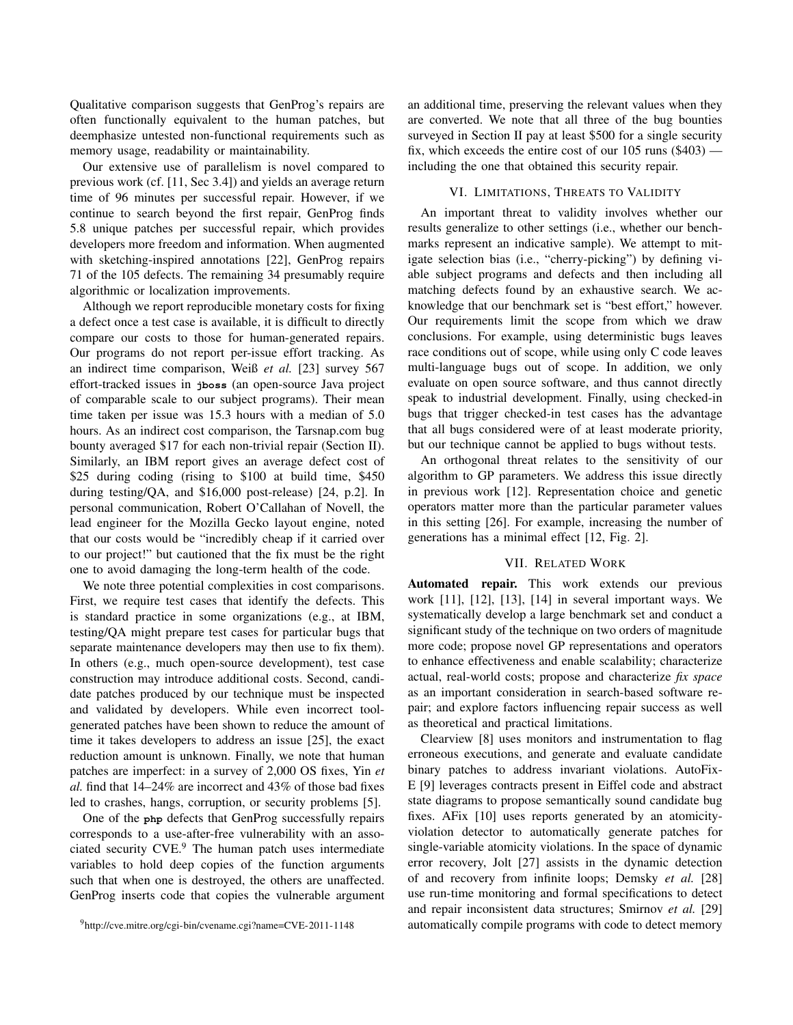Qualitative comparison suggests that GenProg's repairs are often functionally equivalent to the human patches, but deemphasize untested non-functional requirements such as memory usage, readability or maintainability.

Our extensive use of parallelism is novel compared to previous work (cf. [11, Sec 3.4]) and yields an average return time of 96 minutes per successful repair. However, if we continue to search beyond the first repair, GenProg finds 5.8 unique patches per successful repair, which provides developers more freedom and information. When augmented with sketching-inspired annotations [22], GenProg repairs 71 of the 105 defects. The remaining 34 presumably require algorithmic or localization improvements.

Although we report reproducible monetary costs for fixing a defect once a test case is available, it is difficult to directly compare our costs to those for human-generated repairs. Our programs do not report per-issue effort tracking. As an indirect time comparison, Weiß *et al.* [23] survey 567 effort-tracked issues in **jboss** (an open-source Java project of comparable scale to our subject programs). Their mean time taken per issue was 15.3 hours with a median of 5.0 hours. As an indirect cost comparison, the Tarsnap.com bug bounty averaged \$17 for each non-trivial repair (Section II). Similarly, an IBM report gives an average defect cost of \$25 during coding (rising to \$100 at build time, \$450 during testing/QA, and \$16,000 post-release) [24, p.2]. In personal communication, Robert O'Callahan of Novell, the lead engineer for the Mozilla Gecko layout engine, noted that our costs would be "incredibly cheap if it carried over to our project!" but cautioned that the fix must be the right one to avoid damaging the long-term health of the code.

We note three potential complexities in cost comparisons. First, we require test cases that identify the defects. This is standard practice in some organizations (e.g., at IBM, testing/QA might prepare test cases for particular bugs that separate maintenance developers may then use to fix them). In others (e.g., much open-source development), test case construction may introduce additional costs. Second, candidate patches produced by our technique must be inspected and validated by developers. While even incorrect toolgenerated patches have been shown to reduce the amount of time it takes developers to address an issue [25], the exact reduction amount is unknown. Finally, we note that human patches are imperfect: in a survey of 2,000 OS fixes, Yin *et al.* find that 14–24% are incorrect and 43% of those bad fixes led to crashes, hangs, corruption, or security problems [5].

One of the **php** defects that GenProg successfully repairs corresponds to a use-after-free vulnerability with an associated security CVE.<sup>9</sup> The human patch uses intermediate variables to hold deep copies of the function arguments such that when one is destroyed, the others are unaffected. GenProg inserts code that copies the vulnerable argument an additional time, preserving the relevant values when they are converted. We note that all three of the bug bounties surveyed in Section II pay at least \$500 for a single security fix, which exceeds the entire cost of our 105 runs (\$403) including the one that obtained this security repair.

### VI. LIMITATIONS, THREATS TO VALIDITY

An important threat to validity involves whether our results generalize to other settings (i.e., whether our benchmarks represent an indicative sample). We attempt to mitigate selection bias (i.e., "cherry-picking") by defining viable subject programs and defects and then including all matching defects found by an exhaustive search. We acknowledge that our benchmark set is "best effort," however. Our requirements limit the scope from which we draw conclusions. For example, using deterministic bugs leaves race conditions out of scope, while using only C code leaves multi-language bugs out of scope. In addition, we only evaluate on open source software, and thus cannot directly speak to industrial development. Finally, using checked-in bugs that trigger checked-in test cases has the advantage that all bugs considered were of at least moderate priority, but our technique cannot be applied to bugs without tests.

An orthogonal threat relates to the sensitivity of our algorithm to GP parameters. We address this issue directly in previous work [12]. Representation choice and genetic operators matter more than the particular parameter values in this setting [26]. For example, increasing the number of generations has a minimal effect [12, Fig. 2].

#### VII. RELATED WORK

Automated repair. This work extends our previous work [11], [12], [13], [14] in several important ways. We systematically develop a large benchmark set and conduct a significant study of the technique on two orders of magnitude more code; propose novel GP representations and operators to enhance effectiveness and enable scalability; characterize actual, real-world costs; propose and characterize *fix space* as an important consideration in search-based software repair; and explore factors influencing repair success as well as theoretical and practical limitations.

Clearview [8] uses monitors and instrumentation to flag erroneous executions, and generate and evaluate candidate binary patches to address invariant violations. AutoFix-E [9] leverages contracts present in Eiffel code and abstract state diagrams to propose semantically sound candidate bug fixes. AFix [10] uses reports generated by an atomicityviolation detector to automatically generate patches for single-variable atomicity violations. In the space of dynamic error recovery, Jolt [27] assists in the dynamic detection of and recovery from infinite loops; Demsky *et al.* [28] use run-time monitoring and formal specifications to detect and repair inconsistent data structures; Smirnov *et al.* [29] automatically compile programs with code to detect memory

<sup>9</sup>http://cve.mitre.org/cgi-bin/cvename.cgi?name=CVE-2011-1148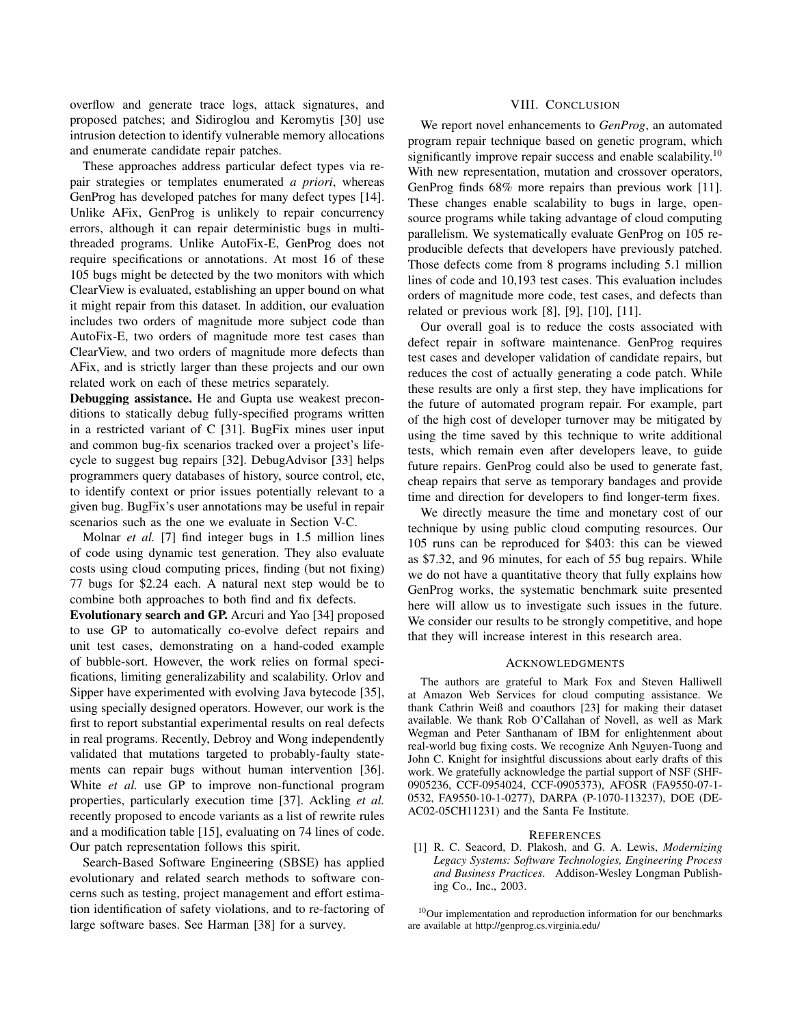overflow and generate trace logs, attack signatures, and proposed patches; and Sidiroglou and Keromytis [30] use intrusion detection to identify vulnerable memory allocations and enumerate candidate repair patches.

These approaches address particular defect types via repair strategies or templates enumerated *a priori*, whereas GenProg has developed patches for many defect types [14]. Unlike AFix, GenProg is unlikely to repair concurrency errors, although it can repair deterministic bugs in multithreaded programs. Unlike AutoFix-E, GenProg does not require specifications or annotations. At most 16 of these 105 bugs might be detected by the two monitors with which ClearView is evaluated, establishing an upper bound on what it might repair from this dataset. In addition, our evaluation includes two orders of magnitude more subject code than AutoFix-E, two orders of magnitude more test cases than ClearView, and two orders of magnitude more defects than AFix, and is strictly larger than these projects and our own related work on each of these metrics separately.

Debugging assistance. He and Gupta use weakest preconditions to statically debug fully-specified programs written in a restricted variant of C [31]. BugFix mines user input and common bug-fix scenarios tracked over a project's lifecycle to suggest bug repairs [32]. DebugAdvisor [33] helps programmers query databases of history, source control, etc, to identify context or prior issues potentially relevant to a given bug. BugFix's user annotations may be useful in repair scenarios such as the one we evaluate in Section V-C.

Molnar *et al.* [7] find integer bugs in 1.5 million lines of code using dynamic test generation. They also evaluate costs using cloud computing prices, finding (but not fixing) 77 bugs for \$2.24 each. A natural next step would be to combine both approaches to both find and fix defects.

Evolutionary search and GP. Arcuri and Yao [34] proposed to use GP to automatically co-evolve defect repairs and unit test cases, demonstrating on a hand-coded example of bubble-sort. However, the work relies on formal specifications, limiting generalizability and scalability. Orlov and Sipper have experimented with evolving Java bytecode [35], using specially designed operators. However, our work is the first to report substantial experimental results on real defects in real programs. Recently, Debroy and Wong independently validated that mutations targeted to probably-faulty statements can repair bugs without human intervention [36]. White *et al.* use GP to improve non-functional program properties, particularly execution time [37]. Ackling *et al.* recently proposed to encode variants as a list of rewrite rules and a modification table [15], evaluating on 74 lines of code. Our patch representation follows this spirit.

Search-Based Software Engineering (SBSE) has applied evolutionary and related search methods to software concerns such as testing, project management and effort estimation identification of safety violations, and to re-factoring of large software bases. See Harman [38] for a survey.

### VIII. CONCLUSION

We report novel enhancements to *GenProg*, an automated program repair technique based on genetic program, which significantly improve repair success and enable scalability.<sup>10</sup> With new representation, mutation and crossover operators, GenProg finds 68% more repairs than previous work [11]. These changes enable scalability to bugs in large, opensource programs while taking advantage of cloud computing parallelism. We systematically evaluate GenProg on 105 reproducible defects that developers have previously patched. Those defects come from 8 programs including 5.1 million lines of code and 10,193 test cases. This evaluation includes orders of magnitude more code, test cases, and defects than related or previous work [8], [9], [10], [11].

Our overall goal is to reduce the costs associated with defect repair in software maintenance. GenProg requires test cases and developer validation of candidate repairs, but reduces the cost of actually generating a code patch. While these results are only a first step, they have implications for the future of automated program repair. For example, part of the high cost of developer turnover may be mitigated by using the time saved by this technique to write additional tests, which remain even after developers leave, to guide future repairs. GenProg could also be used to generate fast, cheap repairs that serve as temporary bandages and provide time and direction for developers to find longer-term fixes.

We directly measure the time and monetary cost of our technique by using public cloud computing resources. Our 105 runs can be reproduced for \$403: this can be viewed as \$7.32, and 96 minutes, for each of 55 bug repairs. While we do not have a quantitative theory that fully explains how GenProg works, the systematic benchmark suite presented here will allow us to investigate such issues in the future. We consider our results to be strongly competitive, and hope that they will increase interest in this research area.

#### ACKNOWLEDGMENTS

The authors are grateful to Mark Fox and Steven Halliwell at Amazon Web Services for cloud computing assistance. We thank Cathrin Weiß and coauthors [23] for making their dataset available. We thank Rob O'Callahan of Novell, as well as Mark Wegman and Peter Santhanam of IBM for enlightenment about real-world bug fixing costs. We recognize Anh Nguyen-Tuong and John C. Knight for insightful discussions about early drafts of this work. We gratefully acknowledge the partial support of NSF (SHF-0905236, CCF-0954024, CCF-0905373), AFOSR (FA9550-07-1- 0532, FA9550-10-1-0277), DARPA (P-1070-113237), DOE (DE-AC02-05CH11231) and the Santa Fe Institute.

#### **REFERENCES**

[1] R. C. Seacord, D. Plakosh, and G. A. Lewis, *Modernizing Legacy Systems: Software Technologies, Engineering Process and Business Practices*. Addison-Wesley Longman Publishing Co., Inc., 2003.

 $10$ Our implementation and reproduction information for our benchmarks are available at http://genprog.cs.virginia.edu/